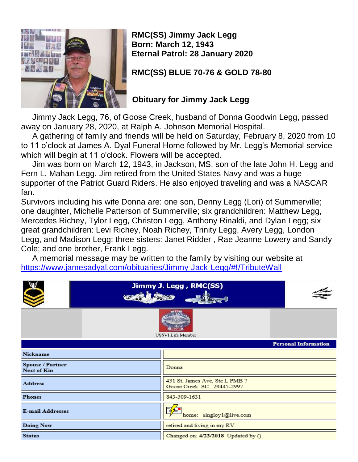

**RMC(SS) Jimmy Jack Legg Born: March 12, 1943 Eternal Patrol: 28 January 2020**

**RMC(SS) BLUE 70-76 & GOLD 78-80**

## **Obituary for Jimmy Jack Legg**

 Jimmy Jack Legg, 76, of Goose Creek, husband of Donna Goodwin Legg, passed away on January 28, 2020, at Ralph A. Johnson Memorial Hospital.

 A gathering of family and friends will be held on Saturday, February 8, 2020 from 10 to 11 o'clock at James A. Dyal Funeral Home followed by Mr. Legg's Memorial service which will begin at 11 o'clock. Flowers will be accepted.

 Jim was born on March 12, 1943, in Jackson, MS, son of the late John H. Legg and Fern L. Mahan Legg. Jim retired from the United States Navy and was a huge supporter of the Patriot Guard Riders. He also enjoyed traveling and was a NASCAR fan.

Survivors including his wife Donna are: one son, Denny Legg (Lori) of Summerville; one daughter, Michelle Patterson of Summerville; six grandchildren: Matthew Legg, Mercedes Richey, Tylor Legg, Christon Legg, Anthony Rinaldi, and Dylan Legg; six great grandchildren: Levi Richey, Noah Richey, Trinity Legg, Avery Legg, London Legg, and Madison Legg; three sisters: Janet Ridder , Rae Jeanne Lowery and Sandy Cole; and one brother, Frank Legg.

 A memorial message may be written to the family by visiting our website at <https://www.jamesadyal.com/obituaries/Jimmy-Jack-Legg/#!/TributeWall>

|                                        | Jimmy J. Legg, RMC(SS)<br><b>SANCHORN</b>                   |  |  |  |  |  |  |
|----------------------------------------|-------------------------------------------------------------|--|--|--|--|--|--|
| <b>USSVI Life Member</b>               |                                                             |  |  |  |  |  |  |
|                                        | <b>Personal Information</b>                                 |  |  |  |  |  |  |
| Nickname                               |                                                             |  |  |  |  |  |  |
| Spouse / Partner<br><b>Next of Kin</b> | Donna                                                       |  |  |  |  |  |  |
| <b>Address</b>                         | 431 St. James Ave, Ste L PMB 7<br>Goose Creek SC 29445-2997 |  |  |  |  |  |  |
| <b>Phones</b>                          | 843-509-1631                                                |  |  |  |  |  |  |
| <b>E-mail Addresses</b>                | 腎<br>home: singloy1@live.com                                |  |  |  |  |  |  |
| <b>Doing Now</b>                       | retired and living in my RV.                                |  |  |  |  |  |  |
| <b>Status</b>                          | Changed on: 4/23/2018 Updated by ()                         |  |  |  |  |  |  |